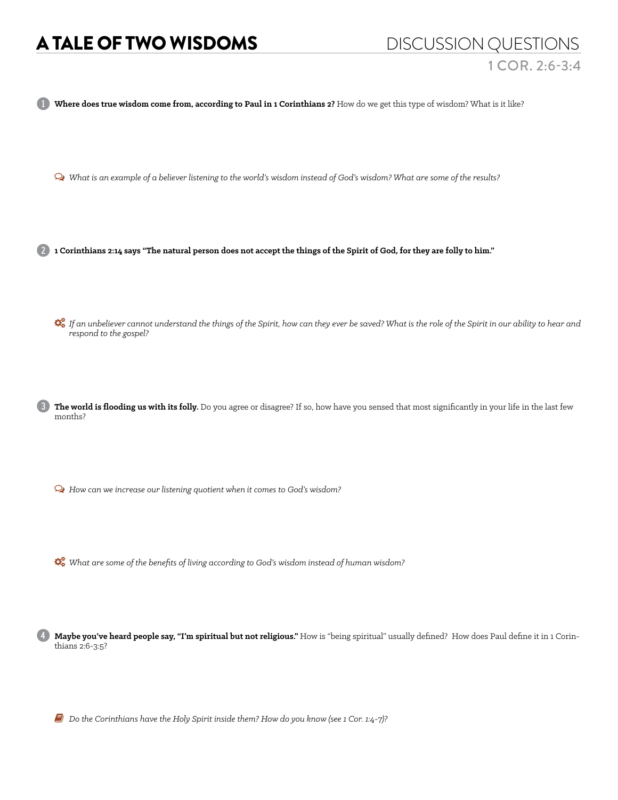## A TALE OF TWO WISDOMS DISCUSSION QUESTIONS

Where does true wisdom come from, according to Paul in 1 Corinthians 2? How do we get this type of wisdom? What is it like?

Ø *What is an example of a believer listening to the world's wisdom instead of God's wisdom? What are some of the results?*

2 **1 Corinthians 2:14 says "The natural person does not accept the things of the Spirit of God, for they are folly to him."** 

 *If an unbeliever cannot understand the things of the Spirit, how can they ever be saved? What is the role of the Spirit in our ability to hear and respond to the gospel?*

3 **The world is flooding us with its folly.** Do you agree or disagree? If so, how have you sensed that most significantly in your life in the last few months?

Ø *How can we increase our listening quotient when it comes to God's wisdom?* 

*What are some of the benefits of living according to God's wisdom instead of human wisdom?*

4 **Maybe you've heard people say, "I'm spiritual but not religious."** How is "being spiritual" usually defined? How does Paul define it in 1 Corinthians 2:6-3:5?

6 *Do the Corinthians have the Holy Spirit inside them? How do you know (see 1 Cor. 1:4-7)?*